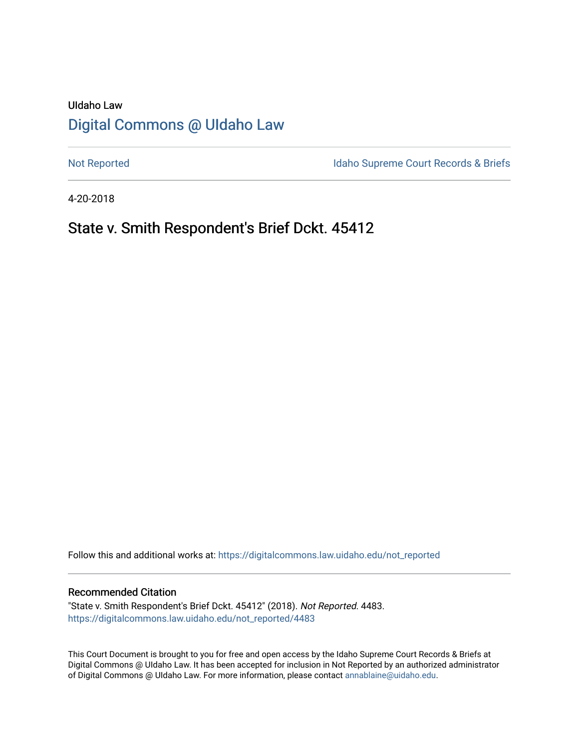## UIdaho Law [Digital Commons @ UIdaho Law](https://digitalcommons.law.uidaho.edu/)

[Not Reported](https://digitalcommons.law.uidaho.edu/not_reported) **Idaho Supreme Court Records & Briefs** 

4-20-2018

### State v. Smith Respondent's Brief Dckt. 45412

Follow this and additional works at: [https://digitalcommons.law.uidaho.edu/not\\_reported](https://digitalcommons.law.uidaho.edu/not_reported?utm_source=digitalcommons.law.uidaho.edu%2Fnot_reported%2F4483&utm_medium=PDF&utm_campaign=PDFCoverPages) 

#### Recommended Citation

"State v. Smith Respondent's Brief Dckt. 45412" (2018). Not Reported. 4483. [https://digitalcommons.law.uidaho.edu/not\\_reported/4483](https://digitalcommons.law.uidaho.edu/not_reported/4483?utm_source=digitalcommons.law.uidaho.edu%2Fnot_reported%2F4483&utm_medium=PDF&utm_campaign=PDFCoverPages)

This Court Document is brought to you for free and open access by the Idaho Supreme Court Records & Briefs at Digital Commons @ UIdaho Law. It has been accepted for inclusion in Not Reported by an authorized administrator of Digital Commons @ UIdaho Law. For more information, please contact [annablaine@uidaho.edu](mailto:annablaine@uidaho.edu).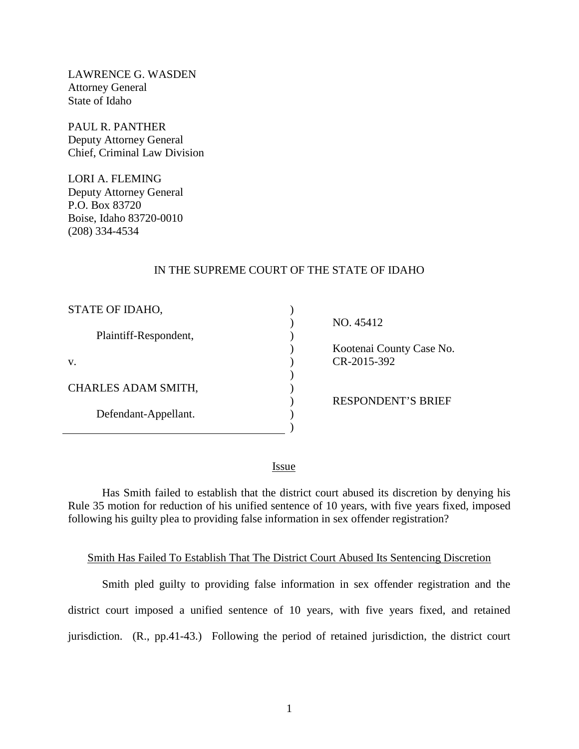LAWRENCE G. WASDEN Attorney General State of Idaho

PAUL R. PANTHER Deputy Attorney General Chief, Criminal Law Division

LORI A. FLEMING Deputy Attorney General P.O. Box 83720 Boise, Idaho 83720-0010 (208) 334-4534

#### IN THE SUPREME COURT OF THE STATE OF IDAHO

) )  $\overline{\phantom{a}}$ ) ) ) )  $\overline{\phantom{a}}$  $\lambda$ )

| STATE OF IDAHO,       |
|-----------------------|
| Plaintiff-Respondent, |
| V.                    |
| CHARLES ADAM SMITH,   |
| Defendant-Appellant.  |
|                       |

NO. 45412

 Kootenai County Case No. CR-2015-392

RESPONDENT'S BRIEF

<u>Issue</u>

Has Smith failed to establish that the district court abused its discretion by denying his Rule 35 motion for reduction of his unified sentence of 10 years, with five years fixed, imposed following his guilty plea to providing false information in sex offender registration?

#### Smith Has Failed To Establish That The District Court Abused Its Sentencing Discretion

Smith pled guilty to providing false information in sex offender registration and the district court imposed a unified sentence of 10 years, with five years fixed, and retained jurisdiction. (R., pp.41-43.) Following the period of retained jurisdiction, the district court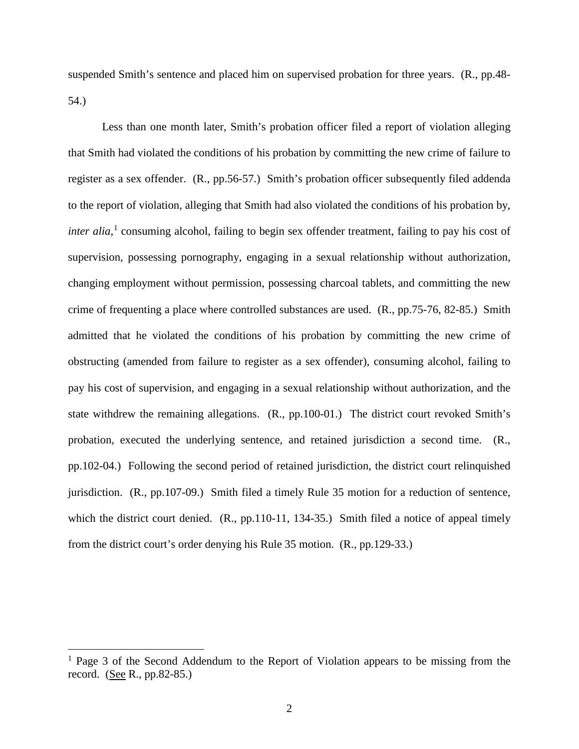suspended Smith's sentence and placed him on supervised probation for three years. (R., pp.48- 54.)

Less than one month later, Smith's probation officer filed a report of violation alleging that Smith had violated the conditions of his probation by committing the new crime of failure to register as a sex offender. (R., pp.56-57.) Smith's probation officer subsequently filed addenda to the report of violation, alleging that Smith had also violated the conditions of his probation by, *inter alia*, [1](#page-2-0) consuming alcohol, failing to begin sex offender treatment, failing to pay his cost of supervision, possessing pornography, engaging in a sexual relationship without authorization, changing employment without permission, possessing charcoal tablets, and committing the new crime of frequenting a place where controlled substances are used. (R., pp.75-76, 82-85.) Smith admitted that he violated the conditions of his probation by committing the new crime of obstructing (amended from failure to register as a sex offender), consuming alcohol, failing to pay his cost of supervision, and engaging in a sexual relationship without authorization, and the state withdrew the remaining allegations. (R., pp.100-01.) The district court revoked Smith's probation, executed the underlying sentence, and retained jurisdiction a second time. (R., pp.102-04.) Following the second period of retained jurisdiction, the district court relinquished jurisdiction. (R., pp.107-09.) Smith filed a timely Rule 35 motion for a reduction of sentence, which the district court denied. (R., pp.110-11, 134-35.) Smith filed a notice of appeal timely from the district court's order denying his Rule 35 motion. (R., pp.129-33.)

 $\overline{a}$ 

<span id="page-2-0"></span><sup>&</sup>lt;sup>1</sup> Page 3 of the Second Addendum to the Report of Violation appears to be missing from the record. (See R., pp.82-85.)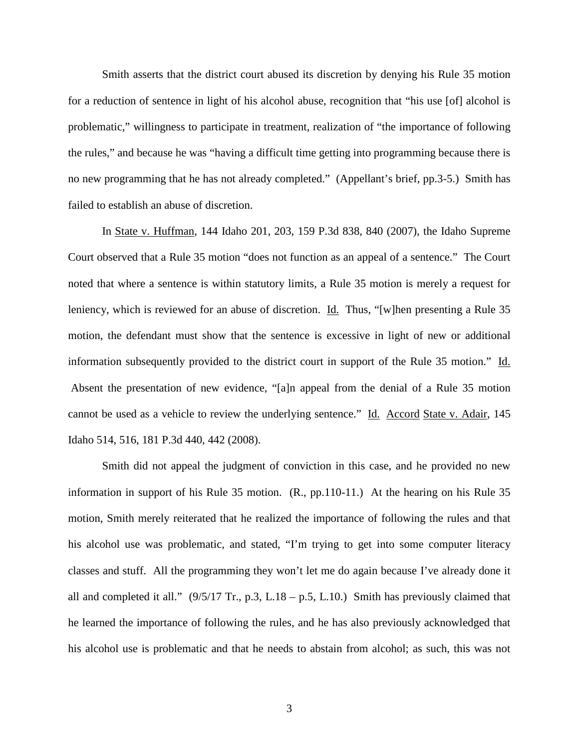Smith asserts that the district court abused its discretion by denying his Rule 35 motion for a reduction of sentence in light of his alcohol abuse, recognition that "his use [of] alcohol is problematic," willingness to participate in treatment, realization of "the importance of following the rules," and because he was "having a difficult time getting into programming because there is no new programming that he has not already completed." (Appellant's brief, pp.3-5.) Smith has failed to establish an abuse of discretion.

In State v. Huffman, 144 Idaho 201, 203, 159 P.3d 838, 840 (2007), the Idaho Supreme Court observed that a Rule 35 motion "does not function as an appeal of a sentence." The Court noted that where a sentence is within statutory limits, a Rule 35 motion is merely a request for leniency, which is reviewed for an abuse of discretion. Id. Thus, "[w]hen presenting a Rule 35 motion, the defendant must show that the sentence is excessive in light of new or additional information subsequently provided to the district court in support of the Rule 35 motion." Id. Absent the presentation of new evidence, "[a]n appeal from the denial of a Rule 35 motion cannot be used as a vehicle to review the underlying sentence." Id. Accord State v. Adair, 145 Idaho 514, 516, 181 P.3d 440, 442 (2008).

<span id="page-3-0"></span>Smith did not appeal the judgment of conviction in this case, and he provided no new information in support of his Rule 35 motion. (R., pp.110-11.) At the hearing on his Rule 35 motion, Smith merely reiterated that he realized the importance of following the rules and that his alcohol use was problematic, and stated, "I'm trying to get into some computer literacy classes and stuff. All the programming they won't let me do again because I've already done it all and completed it all."  $(9/5/17 \text{ Tr.}, p.3, L.18 - p.5, L.10)$  Smith has previously claimed that he learned the importance of following the rules, and he has also previously acknowledged that his alcohol use is problematic and that he needs to abstain from alcohol; as such, this was not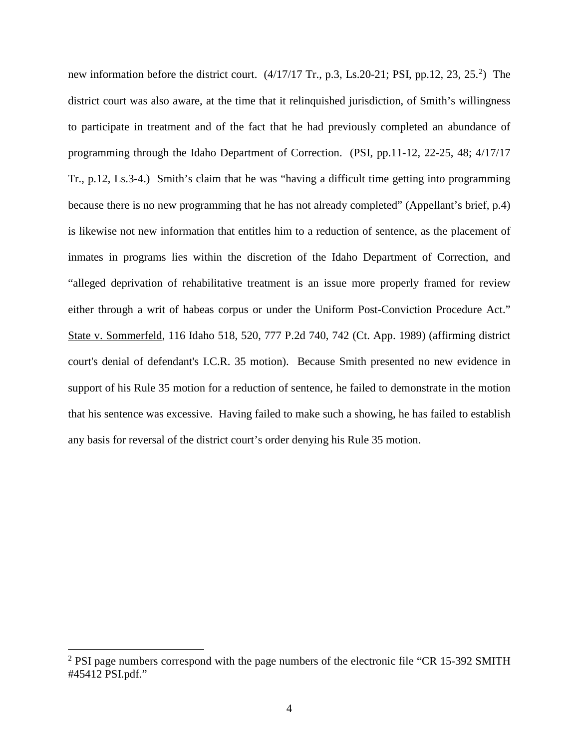new information before the district court.  $(4/17/17 \text{ Tr.}, p.3, Ls.20-21; \text{PSI}, pp.12, 23, 25.^2)$  $(4/17/17 \text{ Tr.}, p.3, Ls.20-21; \text{PSI}, pp.12, 23, 25.^2)$  $(4/17/17 \text{ Tr.}, p.3, Ls.20-21; \text{PSI}, pp.12, 23, 25.^2)$  The district court was also aware, at the time that it relinquished jurisdiction, of Smith's willingness to participate in treatment and of the fact that he had previously completed an abundance of programming through the Idaho Department of Correction. (PSI, pp.11-12, 22-25, 48; 4/17/17 Tr., p.12, Ls.3-4.) Smith's claim that he was "having a difficult time getting into programming because there is no new programming that he has not already completed" (Appellant's brief, p.4) is likewise not new information that entitles him to a reduction of sentence, as the placement of inmates in programs lies within the discretion of the Idaho Department of Correction, and "alleged deprivation of rehabilitative treatment is an issue more properly framed for review either through a writ of habeas corpus or under the Uniform Post-Conviction Procedure Act." State v. Sommerfeld, 116 Idaho 518, 520, 777 P.2d 740, 742 (Ct. App. 1989) (affirming district court's denial of defendant's I.C.R. 35 motion). Because Smith presented no new evidence in support of his Rule 35 motion for a reduction of sentence, he failed to demonstrate in the motion that his sentence was excessive. Having failed to make such a showing, he has failed to establish any basis for reversal of the district court's order denying his Rule 35 motion.

 $\overline{a}$ 

 $2$  PSI page numbers correspond with the page numbers of the electronic file "CR 15-392 SMITH #45412 PSI.pdf."